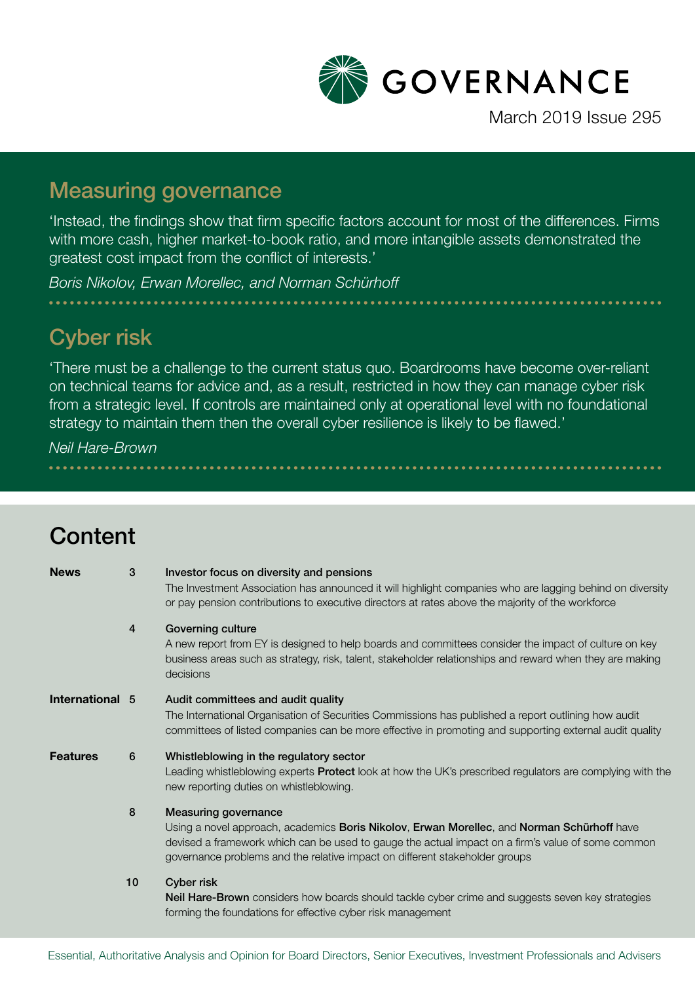

### Measuring governance

'Instead, the findings show that firm specific factors account for most of the differences. Firms with more cash, higher market-to-book ratio, and more intangible assets demonstrated the greatest cost impact from the conflict of interests.'

*Boris Nikolov, Erwan Morellec, and Norman Schürhoff*

# Cyber risk

'There must be a challenge to the current status quo. Boardrooms have become over-reliant on technical teams for advice and, as a result, restricted in how they can manage cyber risk from a strategic level. If controls are maintained only at operational level with no foundational strategy to maintain them then the overall cyber resilience is likely to be flawed.'

*Neil Hare-Brown*

| Content         |                |                                                                                                                                                                                                                                                                                                               |
|-----------------|----------------|---------------------------------------------------------------------------------------------------------------------------------------------------------------------------------------------------------------------------------------------------------------------------------------------------------------|
| <b>News</b>     | 3              | Investor focus on diversity and pensions<br>The Investment Association has announced it will highlight companies who are lagging behind on diversity<br>or pay pension contributions to executive directors at rates above the majority of the workforce                                                      |
|                 | $\overline{4}$ | Governing culture<br>A new report from EY is designed to help boards and committees consider the impact of culture on key<br>business areas such as strategy, risk, talent, stakeholder relationships and reward when they are making<br>decisions                                                            |
| International 5 |                | Audit committees and audit quality<br>The International Organisation of Securities Commissions has published a report outlining how audit<br>committees of listed companies can be more effective in promoting and supporting external audit quality                                                          |
| <b>Features</b> | 6              | Whistleblowing in the regulatory sector<br>Leading whistleblowing experts <b>Protect</b> look at how the UK's prescribed regulators are complying with the<br>new reporting duties on whistleblowing.                                                                                                         |
|                 | 8              | <b>Measuring governance</b><br>Using a novel approach, academics Boris Nikolov, Erwan Morellec, and Norman Schürhoff have<br>devised a framework which can be used to gauge the actual impact on a firm's value of some common<br>governance problems and the relative impact on different stakeholder groups |
|                 | 10             | Cyber risk<br><b>Neil Hare-Brown</b> considers how boards should tackle cyber crime and suggests seven key strategies<br>forming the foundations for effective cyber risk management                                                                                                                          |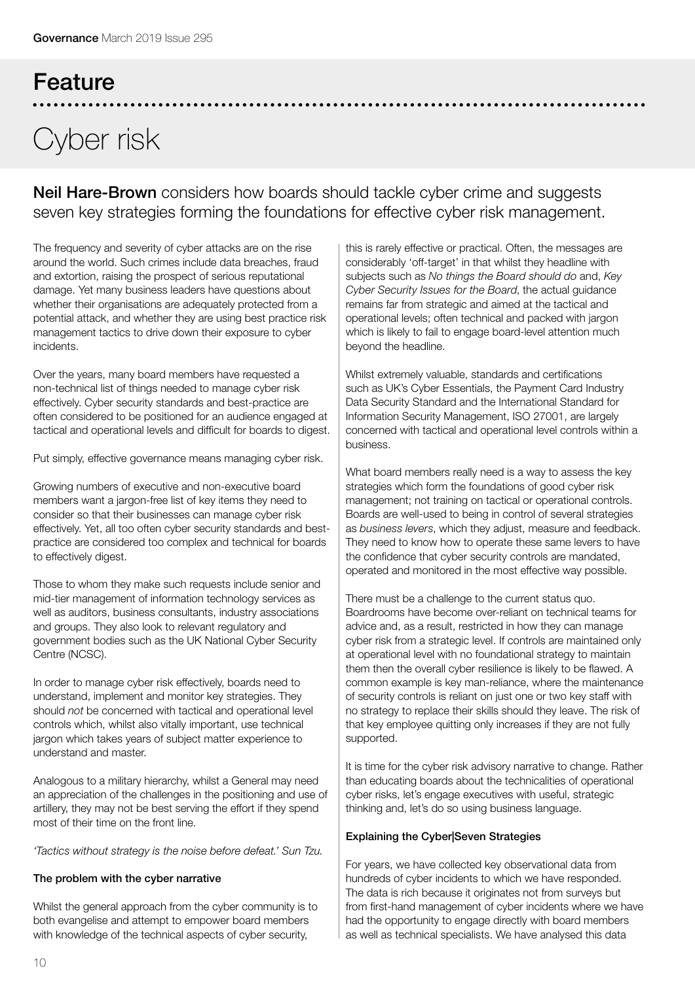# Cyber risk

Feature

Neil Hare-Brown considers how boards should tackle cyber crime and suggests seven key strategies forming the foundations for effective cyber risk management.

The frequency and severity of cyber attacks are on the rise around the world. Such crimes include data breaches, fraud and extortion, raising the prospect of serious reputational damage. Yet many business leaders have questions about whether their organisations are adequately protected from a potential attack, and whether they are using best practice risk management tactics to drive down their exposure to cyber incidents.

Over the years, many board members have requested a non-technical list of things needed to manage cyber risk effectively. Cyber security standards and best-practice are often considered to be positioned for an audience engaged at tactical and operational levels and difficult for boards to digest.

Put simply, effective governance means managing cyber risk.

Growing numbers of executive and non-executive board members want a jargon-free list of key items they need to consider so that their businesses can manage cyber risk effectively. Yet, all too often cyber security standards and bestpractice are considered too complex and technical for boards to effectively digest.

Those to whom they make such requests include senior and mid-tier management of information technology services as well as auditors, business consultants, industry associations and groups. They also look to relevant regulatory and government bodies such as the UK National Cyber Security Centre (NCSC).

In order to manage cyber risk effectively, boards need to understand, implement and monitor key strategies. They should *not* be concerned with tactical and operational level controls which, whilst also vitally important, use technical jargon which takes years of subject matter experience to understand and master.

Analogous to a military hierarchy, whilst a General may need an appreciation of the challenges in the positioning and use of artillery, they may not be best serving the effort if they spend most of their time on the front line.

*'Tactics without strategy is the noise before defeat.' Sun Tzu.*

### The problem with the cyber narrative

Whilst the general approach from the cyber community is to both evangelise and attempt to empower board members with knowledge of the technical aspects of cyber security,

this is rarely effective or practical. Often, the messages are considerably 'off-target' in that whilst they headline with subjects such as *No things the Board should do* and, *Key Cyber Security Issues for the Board*, the actual guidance remains far from strategic and aimed at the tactical and operational levels; often technical and packed with jargon which is likely to fail to engage board-level attention much beyond the headline.

Whilst extremely valuable, standards and certifications such as UK's Cyber Essentials, the Payment Card Industry Data Security Standard and the International Standard for Information Security Management, ISO 27001, are largely concerned with tactical and operational level controls within a business.

What board members really need is a way to assess the key strategies which form the foundations of good cyber risk management; not training on tactical or operational controls. Boards are well-used to being in control of several strategies as *business levers*, which they adjust, measure and feedback. They need to know how to operate these same levers to have the confidence that cyber security controls are mandated, operated and monitored in the most effective way possible.

There must be a challenge to the current status quo. Boardrooms have become over-reliant on technical teams for advice and, as a result, restricted in how they can manage cyber risk from a strategic level. If controls are maintained only at operational level with no foundational strategy to maintain them then the overall cyber resilience is likely to be flawed. A common example is key man-reliance, where the maintenance of security controls is reliant on just one or two key staff with no strategy to replace their skills should they leave. The risk of that key employee quitting only increases if they are not fully supported.

It is time for the cyber risk advisory narrative to change. Rather than educating boards about the technicalities of operational cyber risks, let's engage executives with useful, strategic thinking and, let's do so using business language.

### Explaining the Cyber|Seven Strategies

For years, we have collected key observational data from hundreds of cyber incidents to which we have responded. The data is rich because it originates not from surveys but from first-hand management of cyber incidents where we have had the opportunity to engage directly with board members as well as technical specialists. We have analysed this data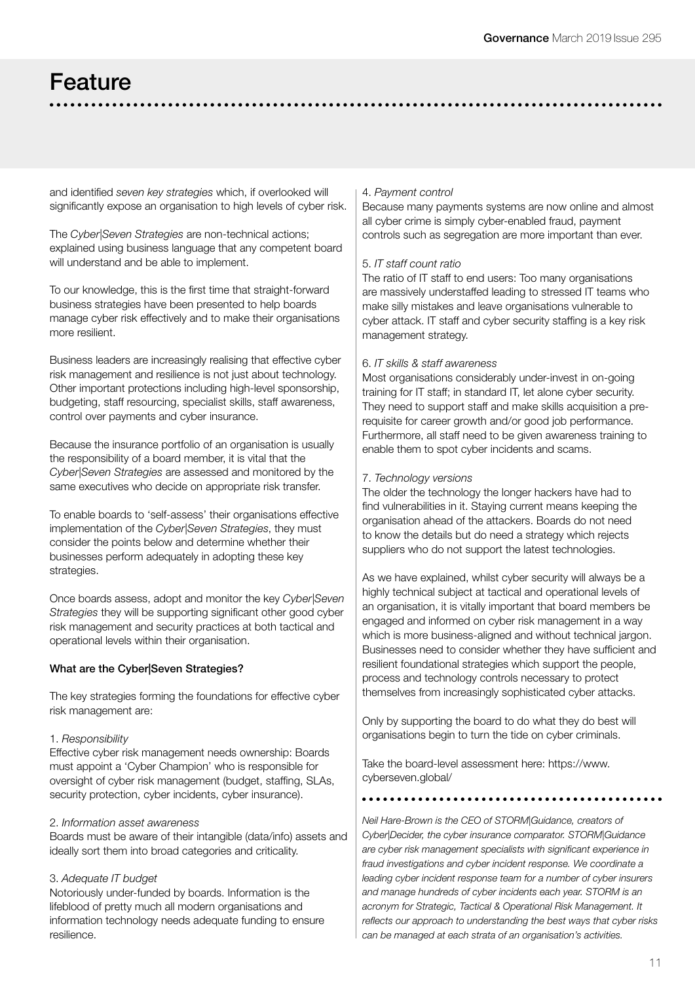### Feature

and identified *seven key strategies* which, if overlooked will significantly expose an organisation to high levels of cyber risk.

The *Cyber|Seven Strategies* are non-technical actions; explained using business language that any competent board will understand and be able to implement.

To our knowledge, this is the first time that straight-forward business strategies have been presented to help boards manage cyber risk effectively and to make their organisations more resilient.

Business leaders are increasingly realising that effective cyber risk management and resilience is not just about technology. Other important protections including high-level sponsorship, budgeting, staff resourcing, specialist skills, staff awareness, control over payments and cyber insurance.

Because the insurance portfolio of an organisation is usually the responsibility of a board member, it is vital that the *Cyber|Seven Strategies* are assessed and monitored by the same executives who decide on appropriate risk transfer.

To enable boards to 'self-assess' their organisations effective implementation of the *Cyber|Seven Strategies*, they must consider the points below and determine whether their businesses perform adequately in adopting these key strategies.

Once boards assess, adopt and monitor the key *Cyber|Seven Strategies* they will be supporting significant other good cyber risk management and security practices at both tactical and operational levels within their organisation.

### What are the Cyber|Seven Strategies?

The key strategies forming the foundations for effective cyber risk management are:

#### 1. *Responsibility*

Effective cyber risk management needs ownership: Boards must appoint a 'Cyber Champion' who is responsible for oversight of cyber risk management (budget, staffing, SLAs, security protection, cyber incidents, cyber insurance).

#### 2. *Information asset awareness*

Boards must be aware of their intangible (data/info) assets and ideally sort them into broad categories and criticality.

#### 3. *Adequate IT budget*

Notoriously under-funded by boards. Information is the lifeblood of pretty much all modern organisations and information technology needs adequate funding to ensure resilience.

#### 4. *Payment control*

Because many payments systems are now online and almost all cyber crime is simply cyber-enabled fraud, payment controls such as segregation are more important than ever.

### 5. *IT staff count ratio*

The ratio of IT staff to end users: Too many organisations are massively understaffed leading to stressed IT teams who make silly mistakes and leave organisations vulnerable to cyber attack. IT staff and cyber security staffing is a key risk management strategy.

#### 6. *IT skills & staff awareness*

Most organisations considerably under-invest in on-going training for IT staff; in standard IT, let alone cyber security. They need to support staff and make skills acquisition a prerequisite for career growth and/or good job performance. Furthermore, all staff need to be given awareness training to enable them to spot cyber incidents and scams.

### 7. *Technology versions*

The older the technology the longer hackers have had to find vulnerabilities in it. Staying current means keeping the organisation ahead of the attackers. Boards do not need to know the details but do need a strategy which rejects suppliers who do not support the latest technologies.

As we have explained, whilst cyber security will always be a highly technical subject at tactical and operational levels of an organisation, it is vitally important that board members be engaged and informed on cyber risk management in a way which is more business-aligned and without technical jargon. Businesses need to consider whether they have sufficient and resilient foundational strategies which support the people, process and technology controls necessary to protect themselves from increasingly sophisticated cyber attacks.

Only by supporting the board to do what they do best will organisations begin to turn the tide on cyber criminals.

Take the board-level assessment here: https://www. cyberseven.global/

*Neil Hare-Brown is the CEO of STORM|Guidance, creators of Cyber|Decider, the cyber insurance comparator. STORM|Guidance are cyber risk management specialists with significant experience in fraud investigations and cyber incident response. We coordinate a leading cyber incident response team for a number of cyber insurers and manage hundreds of cyber incidents each year. STORM is an acronym for Strategic, Tactical & Operational Risk Management. It reflects our approach to understanding the best ways that cyber risks can be managed at each strata of an organisation's activities.*